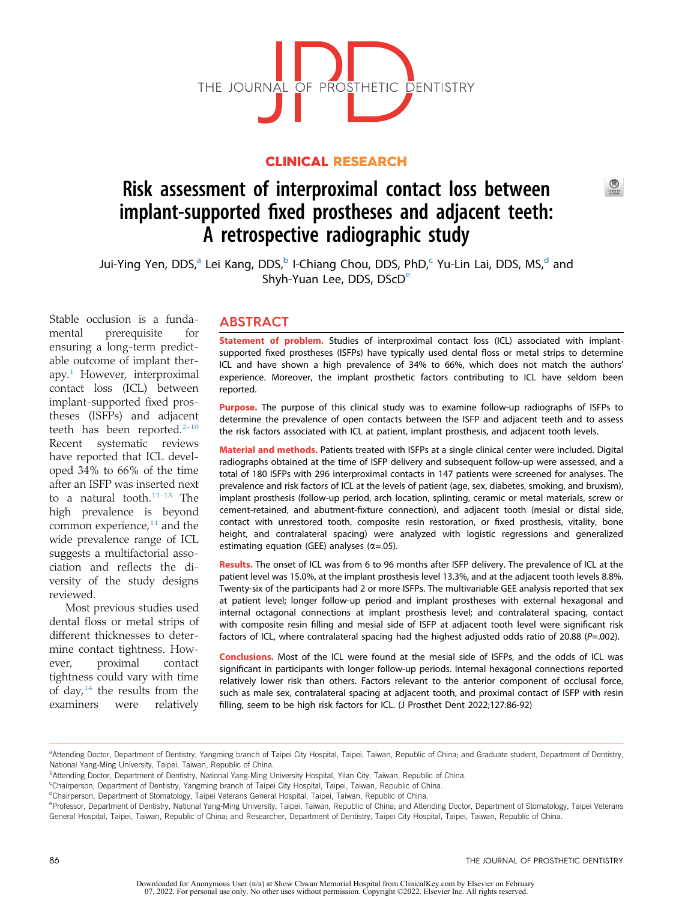

## CLINICAL RESEARCH

# Risk assessment of interproximal contact loss between implant-supported fixed prostheses and adjacent teeth: A retrospective radiographic study

Jui-Ying Yen, DDS,<sup>a</sup> Lei Kang, DDS,<sup>b</sup> I-Chiang Chou, DDS, PhD,<sup>[c](#page-0-2)</sup> Yu-Lin Lai, DDS, MS,<sup>[d](#page-0-3)</sup> and Shyh-Yuan L[e](#page-0-4)e, DDS, DScD<sup>e</sup>

Stable occlusion is a fundamental prerequisite for ensuring a long-term predictable outcome of implant therapy.[1](#page-5-0) However, interproximal contact loss (ICL) between implant-supported fixed prostheses (ISFPs) and adjacent teeth has been reported.<sup>[2-10](#page-5-1)</sup> Recent systematic reviews have reported that ICL developed 34% to 66% of the time after an ISFP was inserted next to a natural tooth.<sup>[11-13](#page-5-2)</sup> The high prevalence is beyond common experience, $11$  and the wide prevalence range of ICL suggests a multifactorial association and reflects the diversity of the study designs reviewed.

Most previous studies used dental floss or metal strips of different thicknesses to determine contact tightness. However, proximal contact tightness could vary with time of day, $14$  the results from the examiners were relatively

## ABSTRACT

Statement of problem. Studies of interproximal contact loss (ICL) associated with implantsupported fixed prostheses (ISFPs) have typically used dental floss or metal strips to determine ICL and have shown a high prevalence of 34% to 66%, which does not match the authors' experience. Moreover, the implant prosthetic factors contributing to ICL have seldom been reported.

Purpose. The purpose of this clinical study was to examine follow-up radiographs of ISFPs to determine the prevalence of open contacts between the ISFP and adjacent teeth and to assess the risk factors associated with ICL at patient, implant prosthesis, and adjacent tooth levels.

Material and methods. Patients treated with ISFPs at a single clinical center were included. Digital radiographs obtained at the time of ISFP delivery and subsequent follow-up were assessed, and a total of 180 ISFPs with 296 interproximal contacts in 147 patients were screened for analyses. The prevalence and risk factors of ICL at the levels of patient (age, sex, diabetes, smoking, and bruxism), implant prosthesis (follow-up period, arch location, splinting, ceramic or metal materials, screw or cement-retained, and abutment-fixture connection), and adjacent tooth (mesial or distal side, contact with unrestored tooth, composite resin restoration, or fixed prosthesis, vitality, bone height, and contralateral spacing) were analyzed with logistic regressions and generalized estimating equation (GEE) analyses  $(\alpha = .05)$ .

Results. The onset of ICL was from 6 to 96 months after ISFP delivery. The prevalence of ICL at the patient level was 15.0%, at the implant prosthesis level 13.3%, and at the adjacent tooth levels 8.8%. Twenty-six of the participants had 2 or more ISFPs. The multivariable GEE analysis reported that sex at patient level; longer follow-up period and implant prostheses with external hexagonal and internal octagonal connections at implant prosthesis level; and contralateral spacing, contact with composite resin filling and mesial side of ISFP at adjacent tooth level were significant risk factors of ICL, where contralateral spacing had the highest adjusted odds ratio of 20.88 ( $P=.002$ ).

Conclusions. Most of the ICL were found at the mesial side of ISFPs, and the odds of ICL was significant in participants with longer follow-up periods. Internal hexagonal connections reported relatively lower risk than others. Factors relevant to the anterior component of occlusal force, such as male sex, contralateral spacing at adjacent tooth, and proximal contact of ISFP with resin filling, seem to be high risk factors for ICL. (J Prosthet Dent 2022;127:86-92)

 $\bigcirc$ 

<span id="page-0-0"></span>a<br>Attending Doctor, Department of Dentistry, Yangming branch of Taipei City Hospital, Taipei, Taiwan, Republic of China; and Graduate student, Department of Dentistry, National Yang-Ming University, Taipei, Taiwan, Republic of China.

<span id="page-0-1"></span>**PAttending Doctor, Department of Dentistry, National Yang-Ming University Hospital, Yilan City, Taiwan, Republic of China.** 

<span id="page-0-2"></span>c Chairperson, Department of Dentistry, Yangming branch of Taipei City Hospital, Taipei, Taiwan, Republic of China.

<span id="page-0-3"></span><sup>&</sup>lt;sup>d</sup>Chairperson, Department of Stomatology, Taipei Veterans General Hospital, Taipei, Taiwan, Republic of China.

<span id="page-0-4"></span>eProfessor, Department of Dentistry, National Yang-Ming University, Taipei, Taiwan, Republic of China; and Attending Doctor, Department of Stomatology, Taipei Veterans General Hospital, Taipei, Taiwan, Republic of China; and Researcher, Department of Dentistry, Taipei City Hospital, Taipei, Taiwan, Republic of China.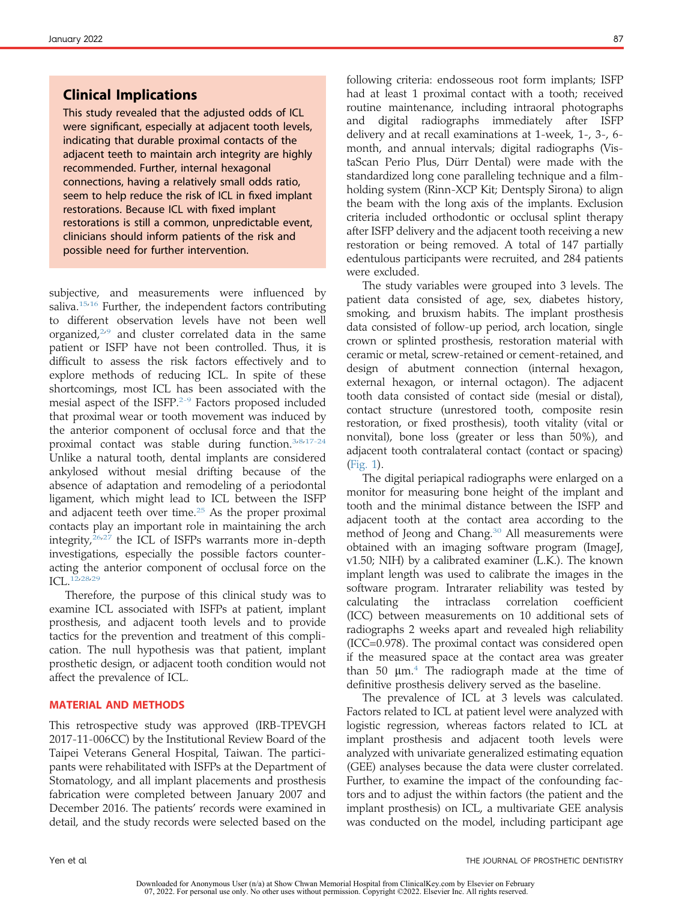## Clinical Implications

This study revealed that the adjusted odds of ICL were significant, especially at adjacent tooth levels, indicating that durable proximal contacts of the adjacent teeth to maintain arch integrity are highly recommended. Further, internal hexagonal connections, having a relatively small odds ratio, seem to help reduce the risk of ICL in fixed implant restorations. Because ICL with fixed implant restorations is still a common, unpredictable event, clinicians should inform patients of the risk and possible need for further intervention.

subjective, and measurements were influenced by saliva.<sup>[15](#page-5-4)[,16](#page-5-5)</sup> Further, the independent factors contributing to different observation levels have not been well organized, $259$  $259$  and cluster correlated data in the same patient or ISFP have not been controlled. Thus, it is difficult to assess the risk factors effectively and to explore methods of reducing ICL. In spite of these shortcomings, most ICL has been associated with the mesial aspect of the ISFP.<sup>[2-9](#page-5-1)</sup> Factors proposed included that proximal wear or tooth movement was induced by the anterior component of occlusal force and that the proximal contact was stable during function.<sup>[3,](#page-5-7)[8,](#page-5-8)[17-24](#page-5-9)</sup> Unlike a natural tooth, dental implants are considered ankylosed without mesial drifting because of the absence of adaptation and remodeling of a periodontal ligament, which might lead to ICL between the ISFP and adjacent teeth over time. $25$  As the proper proximal contacts play an important role in maintaining the arch integrity,<sup>[26,](#page-5-11)[27](#page-5-12)</sup> the ICL of ISFPs warrants more in-depth investigations, especially the possible factors counteracting the anterior component of occlusal force on the ICL.<sup>[12,](#page-5-13)[28,](#page-5-14)[29](#page-5-15)</sup>

Therefore, the purpose of this clinical study was to examine ICL associated with ISFPs at patient, implant prosthesis, and adjacent tooth levels and to provide tactics for the prevention and treatment of this complication. The null hypothesis was that patient, implant prosthetic design, or adjacent tooth condition would not affect the prevalence of ICL.

#### MATERIAL AND METHODS

This retrospective study was approved (IRB-TPEVGH 2017-11-006CC) by the Institutional Review Board of the Taipei Veterans General Hospital, Taiwan. The participants were rehabilitated with ISFPs at the Department of Stomatology, and all implant placements and prosthesis fabrication were completed between January 2007 and December 2016. The patients' records were examined in detail, and the study records were selected based on the following criteria: endosseous root form implants; ISFP had at least 1 proximal contact with a tooth; received routine maintenance, including intraoral photographs and digital radiographs immediately after ISFP delivery and at recall examinations at 1-week, 1-, 3-, 6 month, and annual intervals; digital radiographs (VistaScan Perio Plus, Dürr Dental) were made with the standardized long cone paralleling technique and a filmholding system (Rinn-XCP Kit; Dentsply Sirona) to align the beam with the long axis of the implants. Exclusion criteria included orthodontic or occlusal splint therapy after ISFP delivery and the adjacent tooth receiving a new restoration or being removed. A total of 147 partially edentulous participants were recruited, and 284 patients were excluded.

The study variables were grouped into 3 levels. The patient data consisted of age, sex, diabetes history, smoking, and bruxism habits. The implant prosthesis data consisted of follow-up period, arch location, single crown or splinted prosthesis, restoration material with ceramic or metal, screw-retained or cement-retained, and design of abutment connection (internal hexagon, external hexagon, or internal octagon). The adjacent tooth data consisted of contact side (mesial or distal), contact structure (unrestored tooth, composite resin restoration, or fixed prosthesis), tooth vitality (vital or nonvital), bone loss (greater or less than 50%), and adjacent tooth contralateral contact (contact or spacing) ([Fig. 1](#page-2-0)).

The digital periapical radiographs were enlarged on a monitor for measuring bone height of the implant and tooth and the minimal distance between the ISFP and adjacent tooth at the contact area according to the method of Jeong and Chang.<sup>[30](#page-5-16)</sup> All measurements were obtained with an imaging software program (ImageJ, v1.50; NIH) by a calibrated examiner (L.K.). The known implant length was used to calibrate the images in the software program. Intrarater reliability was tested by calculating the intraclass correlation coefficient (ICC) between measurements on 10 additional sets of radiographs 2 weeks apart and revealed high reliability (ICC=0.978). The proximal contact was considered open if the measured space at the contact area was greater than 50  $\mu$ m.<sup>[4](#page-5-17)</sup> The radiograph made at the time of definitive prosthesis delivery served as the baseline.

The prevalence of ICL at 3 levels was calculated. Factors related to ICL at patient level were analyzed with logistic regression, whereas factors related to ICL at implant prosthesis and adjacent tooth levels were analyzed with univariate generalized estimating equation (GEE) analyses because the data were cluster correlated. Further, to examine the impact of the confounding factors and to adjust the within factors (the patient and the implant prosthesis) on ICL, a multivariate GEE analysis was conducted on the model, including participant age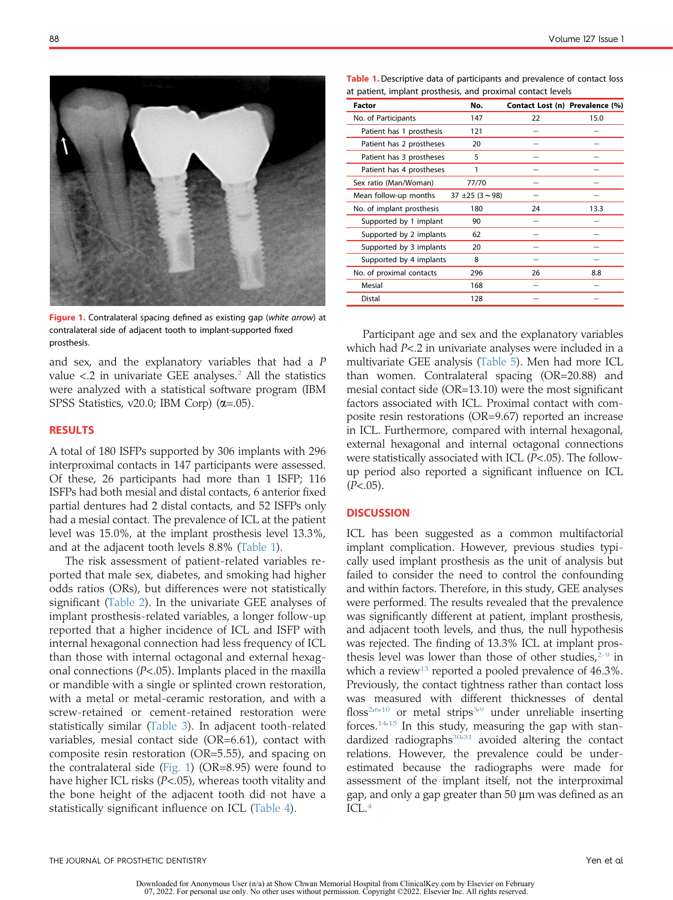<span id="page-2-0"></span>

Figure 1. Contralateral spacing defined as existing gap (white arrow) at contralateral side of adjacent tooth to implant-supported fixed prosthesis.

and sex, and the explanatory variables that had a P value  $\langle 2 \rangle$  $\langle 2 \rangle$  $\langle 2 \rangle$  in univariate GEE analyses.<sup>2</sup> All the statistics were analyzed with a statistical software program (IBM SPSS Statistics, v20.0; IBM Corp)  $(\alpha = .05)$ .

#### RESULTS

A total of 180 ISFPs supported by 306 implants with 296 interproximal contacts in 147 participants were assessed. Of these, 26 participants had more than 1 ISFP; 116 ISFPs had both mesial and distal contacts, 6 anterior fixed partial dentures had 2 distal contacts, and 52 ISFPs only had a mesial contact. The prevalence of ICL at the patient level was 15.0%, at the implant prosthesis level 13.3%, and at the adjacent tooth levels 8.8% [\(Table 1](#page-2-1)).

The risk assessment of patient-related variables reported that male sex, diabetes, and smoking had higher odds ratios (ORs), but differences were not statistically significant ([Table 2\)](#page-3-0). In the univariate GEE analyses of implant prosthesis-related variables, a longer follow-up reported that a higher incidence of ICL and ISFP with internal hexagonal connection had less frequency of ICL than those with internal octagonal and external hexagonal connections ( $P<.05$ ). Implants placed in the maxilla or mandible with a single or splinted crown restoration, with a metal or metal-ceramic restoration, and with a screw-retained or cement-retained restoration were statistically similar ([Table 3](#page-3-1)). In adjacent tooth-related variables, mesial contact side (OR=6.61), contact with composite resin restoration (OR=5.55), and spacing on the contralateral side ([Fig. 1\)](#page-2-0) (OR=8.95) were found to have higher ICL risks (P<.05), whereas tooth vitality and the bone height of the adjacent tooth did not have a statistically significant influence on ICL ([Table 4](#page-3-2)).

<span id="page-2-1"></span>Table 1. Descriptive data of participants and prevalence of contact loss at patient, implant prosthesis, and proximal contact levels

| No.                     |    |                                 |
|-------------------------|----|---------------------------------|
| 147                     | 22 | 15.0                            |
| 121                     |    |                                 |
| 20                      |    |                                 |
| 5                       |    |                                 |
|                         |    |                                 |
| 77/70                   |    |                                 |
| $37 \pm 25 (3 \sim 98)$ |    |                                 |
| 180                     | 24 | 13.3                            |
| 90                      |    |                                 |
| 62                      |    |                                 |
| 20                      |    |                                 |
| 8                       |    |                                 |
| 296                     | 26 | 8.8                             |
| 168                     |    |                                 |
| 128                     |    |                                 |
|                         |    | Contact Lost (n) Prevalence (%) |

Participant age and sex and the explanatory variables which had P<.2 in univariate analyses were included in a multivariate GEE analysis ([Table 5](#page-4-0)). Men had more ICL than women. Contralateral spacing (OR=20.88) and mesial contact side (OR=13.10) were the most significant factors associated with ICL. Proximal contact with composite resin restorations (OR=9.67) reported an increase in ICL. Furthermore, compared with internal hexagonal, external hexagonal and internal octagonal connections were statistically associated with ICL  $(P<.05)$ . The followup period also reported a significant influence on ICL  $(P<.05)$ .

### **DISCUSSION**

ICL has been suggested as a common multifactorial implant complication. However, previous studies typically used implant prosthesis as the unit of analysis but failed to consider the need to control the confounding and within factors. Therefore, in this study, GEE analyses were performed. The results revealed that the prevalence was significantly different at patient, implant prosthesis, and adjacent tooth levels, and thus, the null hypothesis was rejected. The finding of 13.3% ICL at implant prosthesis level was lower than those of other studies,  $2-9$  in which a review<sup>[13](#page-5-18)</sup> reported a pooled prevalence of  $46.3\%$ . Previously, the contact tightness rather than contact loss was measured with different thicknesses of dental floss<sup>[2](#page-5-1),[6,](#page-5-19)[10](#page-5-20)</sup> or metal strips<sup>[3](#page-5-7)[,9](#page-5-6)</sup> under unreliable inserting forces.[14,](#page-5-3)[15](#page-5-4) In this study, measuring the gap with standardized radiographs $30.31$  $30.31$  avoided altering the contact relations. However, the prevalence could be underestimated because the radiographs were made for assessment of the implant itself, not the interproximal gap, and only a gap greater than  $50 \mu m$  was defined as an ICL.[4](#page-5-17)

Downloaded for Anonymous User (n/a) at Show Chwan Memorial Hospital from ClinicalKey.com by Elsevier on February 07, 2022. For personal use only. No other uses without permission. Copyright ©2022. Elsevier Inc. All rights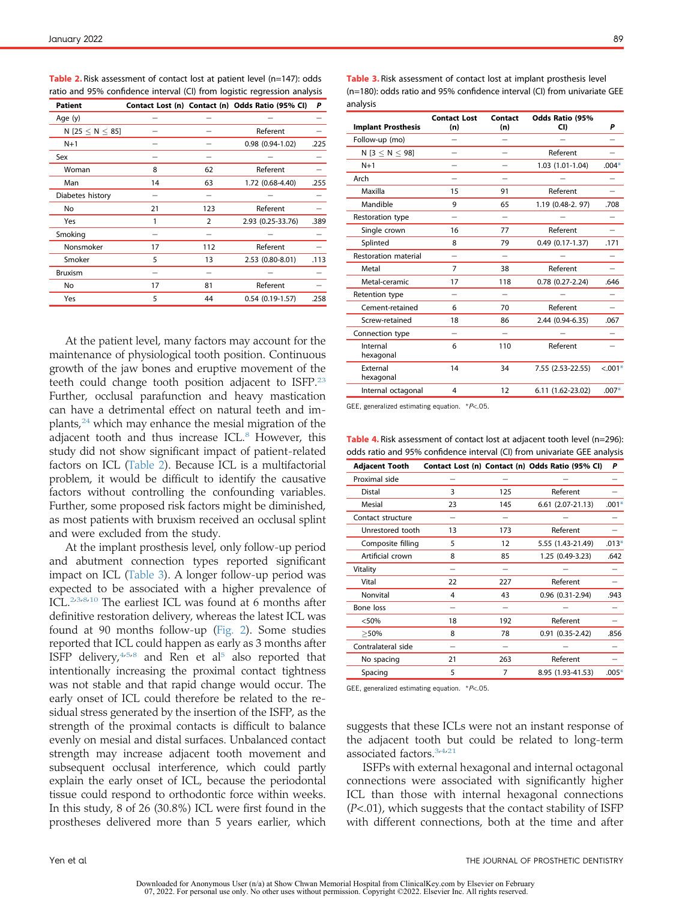<span id="page-3-0"></span>Table 2. Risk assessment of contact lost at patient level (n=147): odds ratio and 95% confidence interval (CI) from logistic regression analysis

| <b>Patient</b>            |    |                | Contact Lost (n) Contact (n) Odds Ratio (95% CI) | P    |
|---------------------------|----|----------------|--------------------------------------------------|------|
| Age (y)                   |    |                |                                                  |      |
| N [25 $\leq$ N $\leq$ 85] |    |                | Referent                                         |      |
| $N+1$                     |    |                | $0.98(0.94-1.02)$                                | .225 |
| Sex                       |    |                |                                                  |      |
| Woman                     | 8  | 62             | Referent                                         |      |
| Man                       | 14 | 63             | 1.72 (0.68-4.40)                                 | .255 |
| Diabetes history          |    |                |                                                  |      |
| No                        | 21 | 123            | Referent                                         |      |
| Yes                       | 1  | $\overline{2}$ | 2.93 (0.25-33.76)                                | .389 |
| Smoking                   |    |                |                                                  |      |
| Nonsmoker                 | 17 | 112            | Referent                                         |      |
| Smoker                    | 5  | 13             | 2.53 (0.80-8.01)                                 | .113 |
| <b>Bruxism</b>            |    |                |                                                  |      |
| No                        | 17 | 81             | Referent                                         |      |
| Yes                       | 5  | 44             | $0.54(0.19-1.57)$                                | .258 |
|                           |    |                |                                                  |      |

At the patient level, many factors may account for the maintenance of physiological tooth position. Continuous growth of the jaw bones and eruptive movement of the teeth could change tooth position adjacent to ISFP.<sup>[23](#page-5-22)</sup> Further, occlusal parafunction and heavy mastication can have a detrimental effect on natural teeth and implants, $24$  which may enhance the mesial migration of the adjacent tooth and thus increase ICL.<sup>[8](#page-5-8)</sup> However, this study did not show significant impact of patient-related factors on ICL ([Table 2](#page-3-0)). Because ICL is a multifactorial problem, it would be difficult to identify the causative factors without controlling the confounding variables. Further, some proposed risk factors might be diminished, as most patients with bruxism received an occlusal splint and were excluded from the study.

At the implant prosthesis level, only follow-up period and abutment connection types reported significant impact on ICL [\(Table 3\)](#page-3-1). A longer follow-up period was expected to be associated with a higher prevalence of ICL.<sup>[2,](#page-5-1)[3](#page-5-7)[,8,](#page-5-8)[10](#page-5-20)</sup> The earliest ICL was found at 6 months after definitive restoration delivery, whereas the latest ICL was found at 90 months follow-up [\(Fig. 2\)](#page-4-1). Some studies reported that ICL could happen as early as 3 months after ISFP delivery,  $4.5.8$  $4.5.8$  $4.5.8$  and Ren et al<sup>5</sup> also reported that intentionally increasing the proximal contact tightness was not stable and that rapid change would occur. The early onset of ICL could therefore be related to the residual stress generated by the insertion of the ISFP, as the strength of the proximal contacts is difficult to balance evenly on mesial and distal surfaces. Unbalanced contact strength may increase adjacent tooth movement and subsequent occlusal interference, which could partly explain the early onset of ICL, because the periodontal tissue could respond to orthodontic force within weeks. In this study, 8 of 26 (30.8%) ICL were first found in the prostheses delivered more than 5 years earlier, which

| <b>Implant Prosthesis</b> | <b>Contact Lost</b><br>(n) | <b>Contact</b><br>(n) | Odds Ratio (95%<br>CI) | Ρ          |
|---------------------------|----------------------------|-----------------------|------------------------|------------|
| Follow-up (mo)            |                            |                       |                        |            |
| N [ $3 \le N \le 98$ ]    |                            |                       | Referent               |            |
| $N+1$                     |                            |                       | 1.03 (1.01-1.04)       | $.004*$    |
| Arch                      |                            |                       |                        |            |
| Maxilla                   | 15                         | 91                    | Referent               |            |
| Mandible                  | 9                          | 65                    | 1.19 (0.48-2, 97)      | .708       |
| Restoration type          | —                          |                       |                        |            |
| Single crown              | 16                         | 77                    | Referent               |            |
| Splinted                  | 8                          | 79                    | $0.49(0.17-1.37)$      | .171       |
| Restoration material      |                            |                       |                        |            |
| Metal                     | $\overline{7}$             | 38                    | Referent               |            |
| Metal-ceramic             | 17                         | 118                   | $0.78$ $(0.27 - 2.24)$ | .646       |
| Retention type            |                            |                       |                        |            |
| Cement-retained           | 6                          | 70                    | Referent               |            |
| Screw-retained            | 18                         | 86                    | 2.44 (0.94-6.35)       | .067       |
| Connection type           |                            |                       |                        |            |
| Internal<br>hexagonal     | 6                          | 110                   | Referent               |            |
| External<br>hexagonal     | 14                         | 34                    | 7.55 (2.53-22.55)      | $< 0.001*$ |
| Internal octagonal        | 4                          | 12                    | 6.11 (1.62-23.02)      | $.007*$    |

<span id="page-3-1"></span>Table 3. Risk assessment of contact lost at implant prosthesis level (n=180): odds ratio and 95% confidence interval (CI) from univariate GEE analysis

<span id="page-3-3"></span>GEE, generalized estimating equation. \*P<.05.

<span id="page-3-2"></span>Table 4. Risk assessment of contact lost at adjacent tooth level (n=296): odds ratio and 95% confidence interval (CI) from univariate GEE analysis

| <b>Adjacent Tooth</b> |    |     | Contact Lost (n) Contact (n) Odds Ratio (95% CI) | P       |
|-----------------------|----|-----|--------------------------------------------------|---------|
| Proximal side         |    |     |                                                  |         |
| Distal                | 3  | 125 | Referent                                         |         |
| Mesial                | 23 | 145 | $6.61(2.07-21.13)$                               | $.001*$ |
| Contact structure     |    |     |                                                  |         |
| Unrestored tooth      | 13 | 173 | Referent                                         |         |
| Composite filling     | 5  | 12  | 5.55 (1.43-21.49)                                | $.013*$ |
| Artificial crown      | 8  | 85  | 1.25 (0.49-3.23)                                 | .642    |
| Vitality              |    |     |                                                  |         |
| Vital                 | 22 | 227 | Referent                                         |         |
| Nonvital              | 4  | 43  | $0.96(0.31-2.94)$                                | .943    |
| Bone loss             |    |     |                                                  |         |
| < 50%                 | 18 | 192 | Referent                                         |         |
| >50%                  | 8  | 78  | $0.91(0.35-2.42)$                                | .856    |
| Contralateral side    |    |     |                                                  |         |
| No spacing            | 21 | 263 | Referent                                         |         |
| Spacing               | 5  | 7   | 8.95 (1.93-41.53)                                | $.005*$ |

<span id="page-3-4"></span>GEE, generalized estimating equation. \*P<.05.

suggests that these ICLs were not an instant response of the adjacent tooth but could be related to long-term associated factors.<sup>[3,](#page-5-7)[4](#page-5-17)[,21](#page-5-25)</sup>

ISFPs with external hexagonal and internal octagonal connections were associated with significantly higher ICL than those with internal hexagonal connections  $(P<.01)$ , which suggests that the contact stability of ISFP with different connections, both at the time and after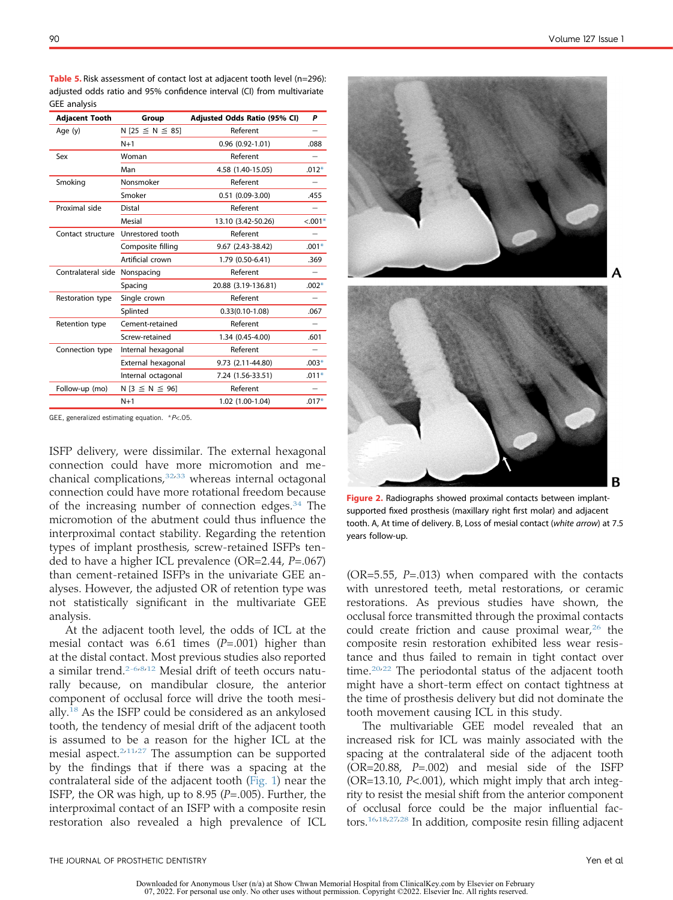| <b>Adjacent Tooth</b> | Group                      | Adjusted Odds Ratio (95% CI) | P         |
|-----------------------|----------------------------|------------------------------|-----------|
| Age (y)               | $N$ [25 $\leq N \leq 85$ ] | Referent                     |           |
|                       | $N+1$                      | $0.96(0.92 - 1.01)$          | .088      |
| Sex                   | Woman                      | Referent                     |           |
|                       | Man                        | 4.58 (1.40-15.05)            | $.012*$   |
| Smoking               | Nonsmoker                  | Referent                     |           |
|                       | Smoker                     | $0.51(0.09-3.00)$            | .455      |
| Proximal side         | <b>Distal</b>              | Referent                     |           |
|                       | Mesial                     | 13.10 (3.42-50.26)           | $< 0.01*$ |
| Contact structure     | Unrestored tooth           | Referent                     |           |
|                       | Composite filling          | 9.67 (2.43-38.42)            | $.001*$   |
|                       | Artificial crown           | 1.79 (0.50-6.41)             | .369      |
| Contralateral side    | Nonspacing                 | Referent                     |           |
|                       | Spacing                    | 20.88 (3.19-136.81)          | $.002*$   |
| Restoration type      | Single crown               | Referent                     |           |
|                       | Splinted                   | $0.33(0.10-1.08)$            | .067      |
| Retention type        | Cement-retained            | Referent                     |           |
|                       | Screw-retained             | 1.34 (0.45-4.00)             | .601      |
| Connection type       | Internal hexagonal         | Referent                     |           |
|                       | External hexagonal         | 9.73 (2.11-44.80)            | $.003*$   |
|                       | Internal octagonal         | 7.24 (1.56-33.51)            | $.011*$   |
| Follow-up (mo)        | $N$ [3 $\leq$ N $\leq$ 96] | Referent                     |           |
|                       | $N+1$                      | 1.02 (1.00-1.04)             | $.017*$   |

<span id="page-4-0"></span>Table 5. Risk assessment of contact lost at adjacent tooth level (n=296): adjusted odds ratio and 95% confidence interval (CI) from multivariate GEE analysis

<span id="page-4-2"></span>GEE, generalized estimating equation.  $*P<.05$ .

ISFP delivery, were dissimilar. The external hexagonal connection could have more micromotion and me-chanical complications,<sup>[32](#page-6-0)[,33](#page-6-1)</sup> whereas internal octagonal connection could have more rotational freedom because of the increasing number of connection edges. $34$  The micromotion of the abutment could thus influence the interproximal contact stability. Regarding the retention types of implant prosthesis, screw-retained ISFPs tended to have a higher ICL prevalence (OR=2.44,  $P=.067$ ) than cement-retained ISFPs in the univariate GEE analyses. However, the adjusted OR of retention type was not statistically significant in the multivariate GEE analysis.

At the adjacent tooth level, the odds of ICL at the mesial contact was 6.61 times  $(P=.001)$  higher than at the distal contact. Most previous studies also reported a similar trend.<sup>[2-6,](#page-5-1)[8,](#page-5-8)[12](#page-5-13)</sup> Mesial drift of teeth occurs naturally because, on mandibular closure, the anterior component of occlusal force will drive the tooth mesially.[18](#page-5-26) As the ISFP could be considered as an ankylosed tooth, the tendency of mesial drift of the adjacent tooth is assumed to be a reason for the higher ICL at the mesial aspect. $2.11.27$  $2.11.27$  $2.11.27$  The assumption can be supported by the findings that if there was a spacing at the contralateral side of the adjacent tooth [\(Fig. 1\)](#page-2-0) near the ISFP, the OR was high, up to 8.95 ( $P = .005$ ). Further, the interproximal contact of an ISFP with a composite resin restoration also revealed a high prevalence of ICL

<span id="page-4-1"></span>

Figure 2. Radiographs showed proximal contacts between implantsupported fixed prosthesis (maxillary right first molar) and adjacent tooth. A, At time of delivery. B, Loss of mesial contact (white arrow) at 7.5 years follow-up.

( $OR=5.55$ ,  $P=.013$ ) when compared with the contacts with unrestored teeth, metal restorations, or ceramic restorations. As previous studies have shown, the occlusal force transmitted through the proximal contacts could create friction and cause proximal wear, $26$  the composite resin restoration exhibited less wear resistance and thus failed to remain in tight contact over time. $20,22$  $20,22$  The periodontal status of the adjacent tooth might have a short-term effect on contact tightness at the time of prosthesis delivery but did not dominate the tooth movement causing ICL in this study.

The multivariable GEE model revealed that an increased risk for ICL was mainly associated with the spacing at the contralateral side of the adjacent tooth (OR=20.88, P=.002) and mesial side of the ISFP  $(OR=13.10, P<.001)$ , which might imply that arch integrity to resist the mesial shift from the anterior component of occlusal force could be the major influential factors.[16](#page-5-5)[,18](#page-5-26)[,27,](#page-5-12)[28](#page-5-14) In addition, composite resin filling adjacent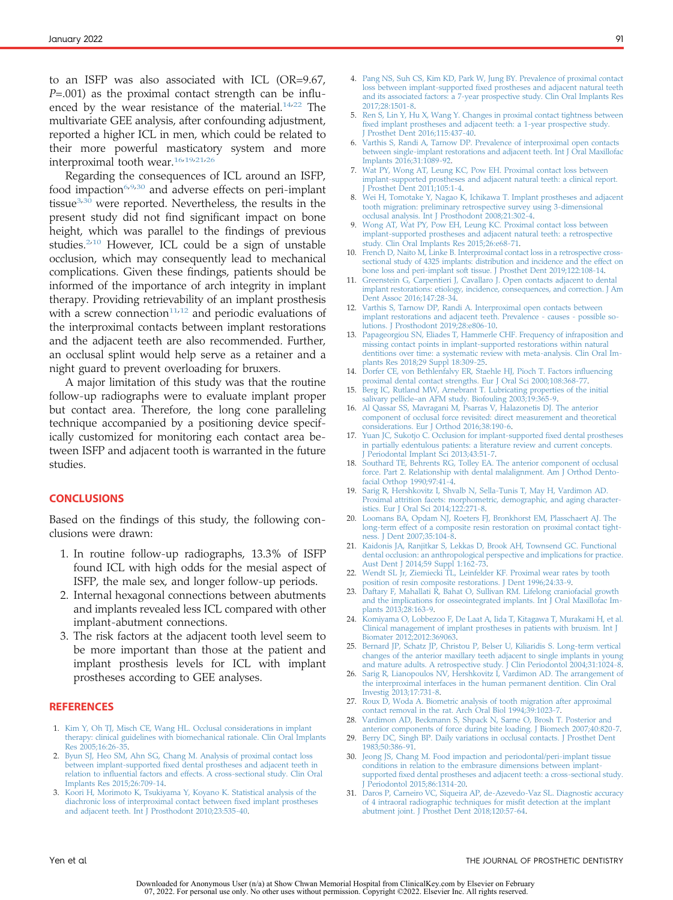to an ISFP was also associated with ICL (OR=9.67,  $P = .001$ ) as the proximal contact strength can be influenced by the wear resistance of the material. $14,22$  $14,22$  The multivariate GEE analysis, after confounding adjustment, reported a higher ICL in men, which could be related to their more powerful masticatory system and more interproximal tooth wear.[16,](#page-5-5)[19](#page-5-29)[,21,](#page-5-25)[26](#page-5-11)

Regarding the consequences of ICL around an ISFP, food impaction<sup>[6](#page-5-19)[,9,](#page-5-6)[30](#page-5-16)</sup> and adverse effects on peri-implant tissue $3,30$  $3,30$  were reported. Nevertheless, the results in the present study did not find significant impact on bone height, which was parallel to the findings of previous studies.<sup>[2](#page-5-1)[,10](#page-5-20)</sup> However, ICL could be a sign of unstable occlusion, which may consequently lead to mechanical complications. Given these findings, patients should be informed of the importance of arch integrity in implant therapy. Providing retrievability of an implant prosthesis with a screw connection<sup>[11](#page-5-2)[,12](#page-5-13)</sup> and periodic evaluations of the interproximal contacts between implant restorations and the adjacent teeth are also recommended. Further, an occlusal splint would help serve as a retainer and a night guard to prevent overloading for bruxers.

A major limitation of this study was that the routine follow-up radiographs were to evaluate implant proper but contact area. Therefore, the long cone paralleling technique accompanied by a positioning device specifically customized for monitoring each contact area between ISFP and adjacent tooth is warranted in the future studies.

## **CONCLUSIONS**

Based on the findings of this study, the following conclusions were drawn:

- 1. In routine follow-up radiographs, 13.3% of ISFP found ICL with high odds for the mesial aspect of ISFP, the male sex, and longer follow-up periods.
- 2. Internal hexagonal connections between abutments and implants revealed less ICL compared with other implant-abutment connections.
- 3. The risk factors at the adjacent tooth level seem to be more important than those at the patient and implant prosthesis levels for ICL with implant prostheses according to GEE analyses.

#### **REFERENCES**

- <span id="page-5-0"></span>1. [Kim Y, Oh TJ, Misch CE, Wang HL. Occlusal considerations in implant](http://refhub.elsevier.com/S0022-3913(20)30510-2/sref1) [therapy: clinical guidelines with biomechanical rationale. Clin Oral Implants](http://refhub.elsevier.com/S0022-3913(20)30510-2/sref1) [Res 2005;16:26-35.](http://refhub.elsevier.com/S0022-3913(20)30510-2/sref1)
- <span id="page-5-1"></span>2. [Byun SJ, Heo SM, Ahn SG, Chang M. Analysis of proximal contact loss](http://refhub.elsevier.com/S0022-3913(20)30510-2/sref2) between implant-supported fi[xed dental prostheses and adjacent teeth in](http://refhub.elsevier.com/S0022-3913(20)30510-2/sref2) relation to infl[uential factors and effects. A cross-sectional study. Clin Oral](http://refhub.elsevier.com/S0022-3913(20)30510-2/sref2) [Implants Res 2015;26:709-14.](http://refhub.elsevier.com/S0022-3913(20)30510-2/sref2)
- <span id="page-5-7"></span>3. [Koori H, Morimoto K, Tsukiyama Y, Koyano K. Statistical analysis of the](http://refhub.elsevier.com/S0022-3913(20)30510-2/sref3) [diachronic loss of interproximal contact between](http://refhub.elsevier.com/S0022-3913(20)30510-2/sref3) fixed implant prostheses [and adjacent teeth. Int J Prosthodont 2010;23:535-40](http://refhub.elsevier.com/S0022-3913(20)30510-2/sref3).
- <span id="page-5-17"></span>4. [Pang NS, Suh CS, Kim KD, Park W, Jung BY. Prevalence of proximal contact](http://refhub.elsevier.com/S0022-3913(20)30510-2/sref4) loss between implant-supported fi[xed prostheses and adjacent natural teeth](http://refhub.elsevier.com/S0022-3913(20)30510-2/sref4) [and its associated factors: a 7-year prospective study. Clin Oral Implants Res](http://refhub.elsevier.com/S0022-3913(20)30510-2/sref4) [2017;28:1501-8.](http://refhub.elsevier.com/S0022-3913(20)30510-2/sref4)
- <span id="page-5-24"></span>5. [Ren S, Lin Y, Hu X, Wang Y. Changes in proximal contact tightness between](http://refhub.elsevier.com/S0022-3913(20)30510-2/sref5) fi[xed implant prostheses and adjacent teeth: a 1-year prospective study.](http://refhub.elsevier.com/S0022-3913(20)30510-2/sref5) [J Prosthet Dent 2016;115:437-40](http://refhub.elsevier.com/S0022-3913(20)30510-2/sref5).
- <span id="page-5-19"></span>[Varthis S, Randi A, Tarnow DP. Prevalence of interproximal open contacts](http://refhub.elsevier.com/S0022-3913(20)30510-2/sref6) [between single-implant restorations and adjacent teeth. Int J Oral Maxillofac](http://refhub.elsevier.com/S0022-3913(20)30510-2/sref6) [Implants 2016;31:1089-92.](http://refhub.elsevier.com/S0022-3913(20)30510-2/sref6)
- 7. [Wat PY, Wong AT, Leung KC, Pow EH. Proximal contact loss between](http://refhub.elsevier.com/S0022-3913(20)30510-2/sref7) [implant-supported prostheses and adjacent natural teeth: a clinical report.](http://refhub.elsevier.com/S0022-3913(20)30510-2/sref7) Prosthet Dent 2011;105:1-4.
- <span id="page-5-8"></span>[Wei H, Tomotake Y, Nagao K, Ichikawa T. Implant prostheses and adjacent](http://refhub.elsevier.com/S0022-3913(20)30510-2/sref8) [tooth migration: preliminary retrospective survey using 3-dimensional](http://refhub.elsevier.com/S0022-3913(20)30510-2/sref8) [occlusal analysis. Int J Prosthodont 2008;21:302-4](http://refhub.elsevier.com/S0022-3913(20)30510-2/sref8).
- <span id="page-5-6"></span>9. [Wong AT, Wat PY, Pow EH, Leung KC. Proximal contact loss between](http://refhub.elsevier.com/S0022-3913(20)30510-2/sref9) [implant-supported prostheses and adjacent natural teeth: a retrospective](http://refhub.elsevier.com/S0022-3913(20)30510-2/sref9) [study. Clin Oral Implants Res 2015;26:e68-71](http://refhub.elsevier.com/S0022-3913(20)30510-2/sref9).
- <span id="page-5-20"></span>10. [French D, Naito M, Linke B. Interproximal contact loss in a retrospective cross](http://refhub.elsevier.com/S0022-3913(20)30510-2/sref10)[sectional study of 4325 implants: distribution and incidence and the effect on](http://refhub.elsevier.com/S0022-3913(20)30510-2/sref10) [bone loss and peri-implant soft tissue. J Prosthet Dent 2019;122:108-14.](http://refhub.elsevier.com/S0022-3913(20)30510-2/sref10)
- <span id="page-5-2"></span>11. [Greenstein G, Carpentieri J, Cavallaro J. Open contacts adjacent to dental](http://refhub.elsevier.com/S0022-3913(20)30510-2/sref11) [implant restorations: etiology, incidence, consequences, and correction. J Am](http://refhub.elsevier.com/S0022-3913(20)30510-2/sref11) [Dent Assoc 2016;147:28-34](http://refhub.elsevier.com/S0022-3913(20)30510-2/sref11).
- <span id="page-5-13"></span>12. [Varthis S, Tarnow DP, Randi A. Interproximal open contacts between](http://refhub.elsevier.com/S0022-3913(20)30510-2/sref12) [implant restorations and adjacent teeth. Prevalence - causes - possible so](http://refhub.elsevier.com/S0022-3913(20)30510-2/sref12)[lutions. J Prosthodont 2019;28:e806-10.](http://refhub.elsevier.com/S0022-3913(20)30510-2/sref12)
- <span id="page-5-18"></span>13. [Papageorgiou SN, Eliades T, Hammerle CHF. Frequency of infraposition and](http://refhub.elsevier.com/S0022-3913(20)30510-2/sref13) [missing contact points in implant-supported restorations within natural](http://refhub.elsevier.com/S0022-3913(20)30510-2/sref13) [dentitions over time: a systematic review with meta-analysis. Clin Oral Im](http://refhub.elsevier.com/S0022-3913(20)30510-2/sref13)lants Res 2018;29 Suppl 18:309-25.
- <span id="page-5-3"></span>14. [Dorfer CE, von Bethlenfalvy ER, Staehle HJ, Pioch T. Factors in](http://refhub.elsevier.com/S0022-3913(20)30510-2/sref14)fluencing [proximal dental contact strengths. Eur J Oral Sci 2000;108:368-77.](http://refhub.elsevier.com/S0022-3913(20)30510-2/sref14)
- <span id="page-5-4"></span>15. [Berg IC, Rutland MW, Arnebrant T. Lubricating properties of the initial](http://refhub.elsevier.com/S0022-3913(20)30510-2/sref15) salivary pellicle–[an AFM study. Biofouling 2003;19:365-9](http://refhub.elsevier.com/S0022-3913(20)30510-2/sref15).
- <span id="page-5-5"></span>16. [Al Qassar SS, Mavragani M, Psarras V, Halazonetis DJ. The anterior](http://refhub.elsevier.com/S0022-3913(20)30510-2/sref16) [component of occlusal force revisited: direct measurement and theoretical](http://refhub.elsevier.com/S0022-3913(20)30510-2/sref16) [considerations. Eur J Orthod 2016;38:190-6](http://refhub.elsevier.com/S0022-3913(20)30510-2/sref16).
- <span id="page-5-9"></span>17. [Yuan JC, Sukotjo C. Occlusion for implant-supported](http://refhub.elsevier.com/S0022-3913(20)30510-2/sref17) fixed dental prostheses [in partially edentulous patients: a literature review and current concepts.](http://refhub.elsevier.com/S0022-3913(20)30510-2/sref17) [J Periodontal Implant Sci 2013;43:51-7](http://refhub.elsevier.com/S0022-3913(20)30510-2/sref17).
- <span id="page-5-26"></span>18. [Southard TE, Behrents RG, Tolley EA. The anterior component of occlusal](http://refhub.elsevier.com/S0022-3913(20)30510-2/sref18) [force. Part 2. Relationship with dental malalignment. Am J Orthod Dento](http://refhub.elsevier.com/S0022-3913(20)30510-2/sref18)[facial Orthop 1990;97:41-4](http://refhub.elsevier.com/S0022-3913(20)30510-2/sref18).
- <span id="page-5-29"></span>19. [Sarig R, Hershkovitz I, Shvalb N, Sella-Tunis T, May H, Vardimon AD.](http://refhub.elsevier.com/S0022-3913(20)30510-2/sref19) [Proximal attrition facets: morphometric, demographic, and aging character](http://refhub.elsevier.com/S0022-3913(20)30510-2/sref19)[istics. Eur J Oral Sci 2014;122:271-8.](http://refhub.elsevier.com/S0022-3913(20)30510-2/sref19)
- <span id="page-5-27"></span>20. [Loomans BA, Opdam NJ, Roeters FJ, Bronkhorst EM, Plasschaert AJ. The](http://refhub.elsevier.com/S0022-3913(20)30510-2/sref20) [long-term effect of a composite resin restoration on proximal contact tight](http://refhub.elsevier.com/S0022-3913(20)30510-2/sref20)[ness. J Dent 2007;35:104-8](http://refhub.elsevier.com/S0022-3913(20)30510-2/sref20).
- <span id="page-5-25"></span>21. [Kaidonis JA, Ranjitkar S, Lekkas D, Brook AH, Townsend GC. Functional](http://refhub.elsevier.com/S0022-3913(20)30510-2/sref21) [dental occlusion: an anthropological perspective and implications for practice.](http://refhub.elsevier.com/S0022-3913(20)30510-2/sref21) [Aust Dent J 2014;59 Suppl 1:162-73.](http://refhub.elsevier.com/S0022-3913(20)30510-2/sref21)
- <span id="page-5-28"></span>22. [Wendt SL Jr, Ziemiecki TL, Leinfelder KF. Proximal wear rates by tooth](http://refhub.elsevier.com/S0022-3913(20)30510-2/sref22) [position of resin composite restorations. J Dent 1996;24:33-9.](http://refhub.elsevier.com/S0022-3913(20)30510-2/sref22)
- <span id="page-5-22"></span>23. [Daftary F, Mahallati R, Bahat O, Sullivan RM. Lifelong craniofacial growth](http://refhub.elsevier.com/S0022-3913(20)30510-2/sref23) [and the implications for osseointegrated implants. Int J Oral Maxillofac Im](http://refhub.elsevier.com/S0022-3913(20)30510-2/sref23)[plants 2013;28:163-9.](http://refhub.elsevier.com/S0022-3913(20)30510-2/sref23)
- <span id="page-5-23"></span>24. [Komiyama O, Lobbezoo F, De Laat A, Iida T, Kitagawa T, Murakami H, et al.](http://refhub.elsevier.com/S0022-3913(20)30510-2/sref24) [Clinical management of implant prostheses in patients with bruxism. Int J](http://refhub.elsevier.com/S0022-3913(20)30510-2/sref24) [Biomater 2012;2012:369063](http://refhub.elsevier.com/S0022-3913(20)30510-2/sref24).
- <span id="page-5-10"></span>25. [Bernard JP, Schatz JP, Christou P, Belser U, Kiliaridis S. Long-term vertical](http://refhub.elsevier.com/S0022-3913(20)30510-2/sref25) [changes of the anterior maxillary teeth adjacent to single implants in young](http://refhub.elsevier.com/S0022-3913(20)30510-2/sref25) [and mature adults. A retrospective study. J Clin Periodontol 2004;31:1024-8](http://refhub.elsevier.com/S0022-3913(20)30510-2/sref25).
- <span id="page-5-11"></span>26. [Sarig R, Lianopoulos NV, Hershkovitz I, Vardimon AD. The arrangement of](http://refhub.elsevier.com/S0022-3913(20)30510-2/sref26) [the interproximal interfaces in the human permanent dentition. Clin Oral](http://refhub.elsevier.com/S0022-3913(20)30510-2/sref26) [Investig 2013;17:731-8.](http://refhub.elsevier.com/S0022-3913(20)30510-2/sref26)
- <span id="page-5-12"></span>27. [Roux D, Woda A. Biometric analysis of tooth migration after approximal](http://refhub.elsevier.com/S0022-3913(20)30510-2/sref27) [contact removal in the rat. Arch Oral Biol 1994;39:1023-7.](http://refhub.elsevier.com/S0022-3913(20)30510-2/sref27)
- <span id="page-5-14"></span>28. [Vardimon AD, Beckmann S, Shpack N, Sarne O, Brosh T. Posterior and](http://refhub.elsevier.com/S0022-3913(20)30510-2/sref28) [anterior components of force during bite loading. J Biomech 2007;40:820-7.](http://refhub.elsevier.com/S0022-3913(20)30510-2/sref28)
- <span id="page-5-15"></span>29. [Berry DC, Singh BP. Daily variations in occlusal contacts. J Prosthet Dent](http://refhub.elsevier.com/S0022-3913(20)30510-2/sref29) [1983;50:386-91.](http://refhub.elsevier.com/S0022-3913(20)30510-2/sref29)
- <span id="page-5-16"></span>30. [Jeong JS, Chang M. Food impaction and periodontal/peri-implant tissue](http://refhub.elsevier.com/S0022-3913(20)30510-2/sref30) [conditions in relation to the embrasure dimensions between implant](http://refhub.elsevier.com/S0022-3913(20)30510-2/sref30)supported fi[xed dental prostheses and adjacent teeth: a cross-sectional study.](http://refhub.elsevier.com/S0022-3913(20)30510-2/sref30) [J Periodontol 2015;86:1314-20.](http://refhub.elsevier.com/S0022-3913(20)30510-2/sref30)
- <span id="page-5-21"></span>31. [Daros P, Carneiro VC, Siqueira AP, de-Azevedo-Vaz SL. Diagnostic accuracy](http://refhub.elsevier.com/S0022-3913(20)30510-2/sref31) [of 4 intraoral radiographic techniques for mis](http://refhub.elsevier.com/S0022-3913(20)30510-2/sref31)fit detection at the implant [abutment joint. J Prosthet Dent 2018;120:57-64.](http://refhub.elsevier.com/S0022-3913(20)30510-2/sref31)